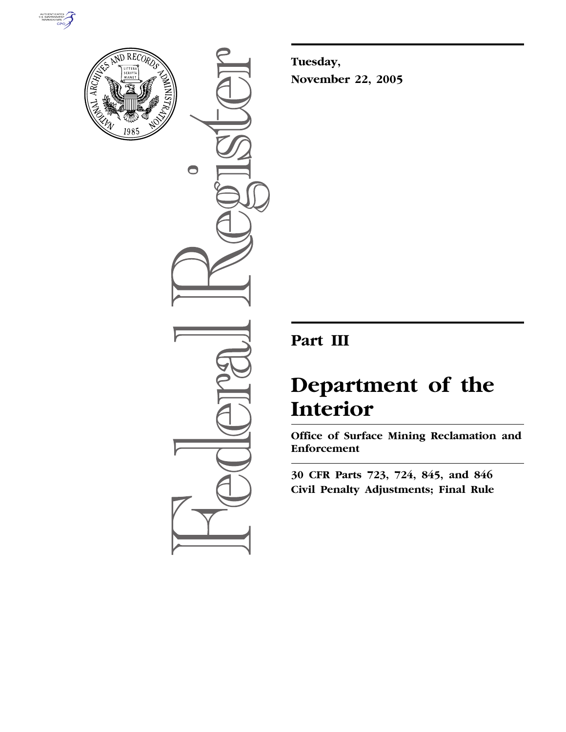



 $\bigcirc$ 

**Tuesday, November 22, 2005** 

# **Part III**

# **Department of the Interior**

**Office of Surface Mining Reclamation and Enforcement** 

**30 CFR Parts 723, 724, 845, and 846 Civil Penalty Adjustments; Final Rule**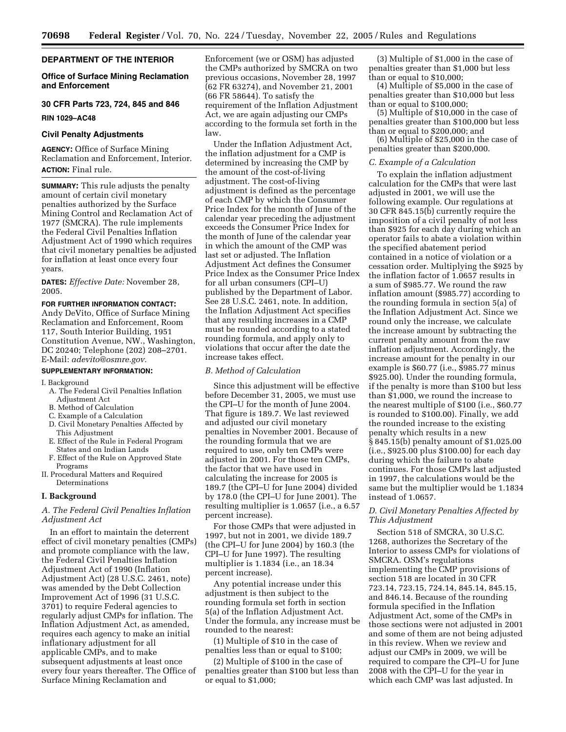#### **DEPARTMENT OF THE INTERIOR**

#### **Office of Surface Mining Reclamation and Enforcement**

# **30 CFR Parts 723, 724, 845 and 846**

# **RIN 1029–AC48**

### **Civil Penalty Adjustments**

**AGENCY:** Office of Surface Mining Reclamation and Enforcement, Interior. **ACTION:** Final rule.

**SUMMARY:** This rule adjusts the penalty amount of certain civil monetary penalties authorized by the Surface Mining Control and Reclamation Act of 1977 (SMCRA). The rule implements the Federal Civil Penalties Inflation Adjustment Act of 1990 which requires that civil monetary penalties be adjusted for inflation at least once every four years.

**DATES:** *Effective Date:* November 28, 2005.

**FOR FURTHER INFORMATION CONTACT:**  Andy DeVito, Office of Surface Mining Reclamation and Enforcement, Room 117, South Interior Building, 1951 Constitution Avenue, NW., Washington, DC 20240; Telephone (202) 208–2701. E-Mail: *adevito@osmre.gov.* 

#### **SUPPLEMENTARY INFORMATION:**

#### I. Background

- A. The Federal Civil Penalties Inflation Adjustment Act
- B. Method of Calculation
- C. Example of a Calculation
- D. Civil Monetary Penalties Affected by This Adjustment
- E. Effect of the Rule in Federal Program States and on Indian Lands
- F. Effect of the Rule on Approved State Programs
- II. Procedural Matters and Required Determinations

## **I. Background**

#### *A. The Federal Civil Penalties Inflation Adjustment Act*

In an effort to maintain the deterrent effect of civil monetary penalties (CMPs) and promote compliance with the law, the Federal Civil Penalties Inflation Adjustment Act of 1990 (Inflation Adjustment Act) (28 U.S.C. 2461, note) was amended by the Debt Collection Improvement Act of 1996 (31 U.S.C. 3701) to require Federal agencies to regularly adjust CMPs for inflation. The Inflation Adjustment Act, as amended, requires each agency to make an initial inflationary adjustment for all applicable CMPs, and to make subsequent adjustments at least once every four years thereafter. The Office of Surface Mining Reclamation and

Enforcement (we or OSM) has adjusted the CMPs authorized by SMCRA on two previous occasions, November 28, 1997 (62 FR 63274), and November 21, 2001 (66 FR 58644). To satisfy the requirement of the Inflation Adjustment Act, we are again adjusting our CMPs according to the formula set forth in the law.

Under the Inflation Adjustment Act, the inflation adjustment for a CMP is determined by increasing the CMP by the amount of the cost-of-living adjustment. The cost-of-living adjustment is defined as the percentage of each CMP by which the Consumer Price Index for the month of June of the calendar year preceding the adjustment exceeds the Consumer Price Index for the month of June of the calendar year in which the amount of the CMP was last set or adjusted. The Inflation Adjustment Act defines the Consumer Price Index as the Consumer Price Index for all urban consumers (CPI–U) published by the Department of Labor. See 28 U.S.C. 2461, note. In addition, the Inflation Adjustment Act specifies that any resulting increases in a CMP must be rounded according to a stated rounding formula, and apply only to violations that occur after the date the increase takes effect.

#### *B. Method of Calculation*

Since this adjustment will be effective before December 31, 2005, we must use the CPI–U for the month of June 2004. That figure is 189.7. We last reviewed and adjusted our civil monetary penalties in November 2001. Because of the rounding formula that we are required to use, only ten CMPs were adjusted in 2001. For those ten CMPs, the factor that we have used in calculating the increase for 2005 is 189.7 (the CPI–U for June 2004) divided by 178.0 (the CPI–U for June 2001). The resulting multiplier is 1.0657 (i.e., a 6.57 percent increase).

For those CMPs that were adjusted in 1997, but not in 2001, we divide 189.7 (the CPI–U for June 2004) by 160.3 (the CPI–U for June 1997). The resulting multiplier is 1.1834 (i.e., an 18.34 percent increase).

Any potential increase under this adjustment is then subject to the rounding formula set forth in section 5(a) of the Inflation Adjustment Act. Under the formula, any increase must be rounded to the nearest:

(1) Multiple of \$10 in the case of penalties less than or equal to \$100;

(2) Multiple of \$100 in the case of penalties greater than \$100 but less than or equal to \$1,000;

(3) Multiple of \$1,000 in the case of penalties greater than \$1,000 but less than or equal to \$10,000;

(4) Multiple of \$5,000 in the case of penalties greater than \$10,000 but less than or equal to \$100,000;

(5) Multiple of \$10,000 in the case of penalties greater than \$100,000 but less than or equal to \$200,000; and

(6) Multiple of \$25,000 in the case of penalties greater than \$200,000.

#### *C. Example of a Calculation*

To explain the inflation adjustment calculation for the CMPs that were last adjusted in 2001, we will use the following example. Our regulations at 30 CFR 845.15(b) currently require the imposition of a civil penalty of not less than \$925 for each day during which an operator fails to abate a violation within the specified abatement period contained in a notice of violation or a cessation order. Multiplying the \$925 by the inflation factor of 1.0657 results in a sum of \$985.77. We round the raw inflation amount (\$985.77) according to the rounding formula in section 5(a) of the Inflation Adjustment Act. Since we round only the increase, we calculate the increase amount by subtracting the current penalty amount from the raw inflation adjustment. Accordingly, the increase amount for the penalty in our example is \$60.77 (i.e., \$985.77 minus \$925.00). Under the rounding formula, if the penalty is more than \$100 but less than \$1,000, we round the increase to the nearest multiple of \$100 (i.e., \$60.77 is rounded to \$100.00). Finally, we add the rounded increase to the existing penalty which results in a new § 845.15(b) penalty amount of \$1,025.00 (i.e., \$925.00 plus \$100.00) for each day during which the failure to abate continues. For those CMPs last adjusted in 1997, the calculations would be the same but the multiplier would be 1.1834 instead of 1.0657.

# *D. Civil Monetary Penalties Affected by This Adjustment*

Section 518 of SMCRA, 30 U.S.C. 1268, authorizes the Secretary of the Interior to assess CMPs for violations of SMCRA. OSM's regulations implementing the CMP provisions of section 518 are located in 30 CFR 723.14, 723.15, 724.14, 845.14, 845.15, and 846.14. Because of the rounding formula specified in the Inflation Adjustment Act, some of the CMPs in those sections were not adjusted in 2001 and some of them are not being adjusted in this review. When we review and adjust our CMPs in 2009, we will be required to compare the CPI–U for June 2008 with the CPI–U for the year in which each CMP was last adjusted. In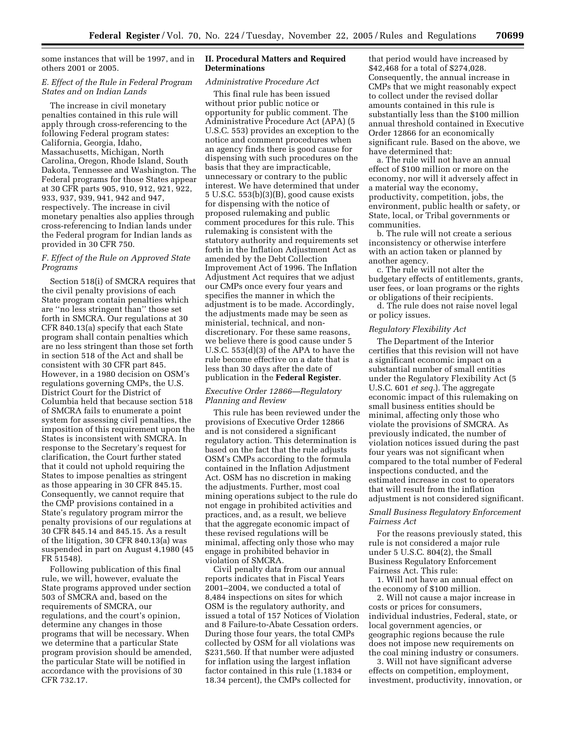some instances that will be 1997, and in others 2001 or 2005.

# *E. Effect of the Rule in Federal Program States and on Indian Lands*

The increase in civil monetary penalties contained in this rule will apply through cross-referencing to the following Federal program states: California, Georgia, Idaho, Massachusetts, Michigan, North Carolina, Oregon, Rhode Island, South Dakota, Tennessee and Washington. The Federal programs for those States appear at 30 CFR parts 905, 910, 912, 921, 922, 933, 937, 939, 941, 942 and 947, respectively. The increase in civil monetary penalties also applies through cross-referencing to Indian lands under the Federal program for Indian lands as provided in 30 CFR 750.

# *F. Effect of the Rule on Approved State Programs*

Section 518(i) of SMCRA requires that the civil penalty provisions of each State program contain penalties which are ''no less stringent than'' those set forth in SMCRA. Our regulations at 30 CFR 840.13(a) specify that each State program shall contain penalties which are no less stringent than those set forth in section 518 of the Act and shall be consistent with 30 CFR part 845. However, in a 1980 decision on OSM's regulations governing CMPs, the U.S. District Court for the District of Columbia held that because section 518 of SMCRA fails to enumerate a point system for assessing civil penalties, the imposition of this requirement upon the States is inconsistent with SMCRA. In response to the Secretary's request for clarification, the Court further stated that it could not uphold requiring the States to impose penalties as stringent as those appearing in 30 CFR 845.15. Consequently, we cannot require that the CMP provisions contained in a State's regulatory program mirror the penalty provisions of our regulations at 30 CFR 845.14 and 845.15. As a result of the litigation, 30 CFR 840.13(a) was suspended in part on August 4,1980 (45 FR 51548).

Following publication of this final rule, we will, however, evaluate the State programs approved under section 503 of SMCRA and, based on the requirements of SMCRA, our regulations, and the court's opinion, determine any changes in those programs that will be necessary. When we determine that a particular State program provision should be amended, the particular State will be notified in accordance with the provisions of 30 CFR 732.17.

#### **II. Procedural Matters and Required Determinations**

# *Administrative Procedure Act*

This final rule has been issued without prior public notice or opportunity for public comment. The Administrative Procedure Act (APA) (5 U.S.C. 553) provides an exception to the notice and comment procedures when an agency finds there is good cause for dispensing with such procedures on the basis that they are impracticable, unnecessary or contrary to the public interest. We have determined that under 5 U.S.C. 553(b)(3)(B), good cause exists for dispensing with the notice of proposed rulemaking and public comment procedures for this rule. This rulemaking is consistent with the statutory authority and requirements set forth in the Inflation Adjustment Act as amended by the Debt Collection Improvement Act of 1996. The Inflation Adjustment Act requires that we adjust our CMPs once every four years and specifies the manner in which the adjustment is to be made. Accordingly, the adjustments made may be seen as ministerial, technical, and nondiscretionary. For these same reasons, we believe there is good cause under 5 U.S.C. 553(d)(3) of the APA to have the rule become effective on a date that is less than 30 days after the date of publication in the **Federal Register**.

# *Executive Order 12866—Regulatory Planning and Review*

This rule has been reviewed under the provisions of Executive Order 12866 and is not considered a significant regulatory action. This determination is based on the fact that the rule adjusts OSM's CMPs according to the formula contained in the Inflation Adjustment Act. OSM has no discretion in making the adjustments. Further, most coal mining operations subject to the rule do not engage in prohibited activities and practices, and, as a result, we believe that the aggregate economic impact of these revised regulations will be minimal, affecting only those who may engage in prohibited behavior in violation of SMCRA.

Civil penalty data from our annual reports indicates that in Fiscal Years 2001–2004, we conducted a total of 8,484 inspections on sites for which OSM is the regulatory authority, and issued a total of 157 Notices of Violation and 8 Failure-to-Abate Cessation orders. During those four years, the total CMPs collected by OSM for all violations was \$231,560. If that number were adjusted for inflation using the largest inflation factor contained in this rule (1.1834 or 18.34 percent), the CMPs collected for

that period would have increased by \$42,468 for a total of \$274,028. Consequently, the annual increase in CMPs that we might reasonably expect to collect under the revised dollar amounts contained in this rule is substantially less than the \$100 million annual threshold contained in Executive Order 12866 for an economically significant rule. Based on the above, we have determined that:

a. The rule will not have an annual effect of \$100 million or more on the economy, nor will it adversely affect in a material way the economy, productivity, competition, jobs, the environment, public health or safety, or State, local, or Tribal governments or communities.

b. The rule will not create a serious inconsistency or otherwise interfere with an action taken or planned by another agency.

c. The rule will not alter the budgetary effects of entitlements, grants, user fees, or loan programs or the rights or obligations of their recipients.

d. The rule does not raise novel legal or policy issues.

#### *Regulatory Flexibility Act*

The Department of the Interior certifies that this revision will not have a significant economic impact on a substantial number of small entities under the Regulatory Flexibility Act (5 U.S.C. 601 *et seq.*). The aggregate economic impact of this rulemaking on small business entities should be minimal, affecting only those who violate the provisions of SMCRA. As previously indicated, the number of violation notices issued during the past four years was not significant when compared to the total number of Federal inspections conducted, and the estimated increase in cost to operators that will result from the inflation adjustment is not considered significant.

# *Small Business Regulatory Enforcement Fairness Act*

For the reasons previously stated, this rule is not considered a major rule under 5 U.S.C. 804(2), the Small Business Regulatory Enforcement Fairness Act. This rule:

1. Will not have an annual effect on the economy of \$100 million.

2. Will not cause a major increase in costs or prices for consumers, individual industries, Federal, state, or local government agencies, or geographic regions because the rule does not impose new requirements on the coal mining industry or consumers.

3. Will not have significant adverse effects on competition, employment, investment, productivity, innovation, or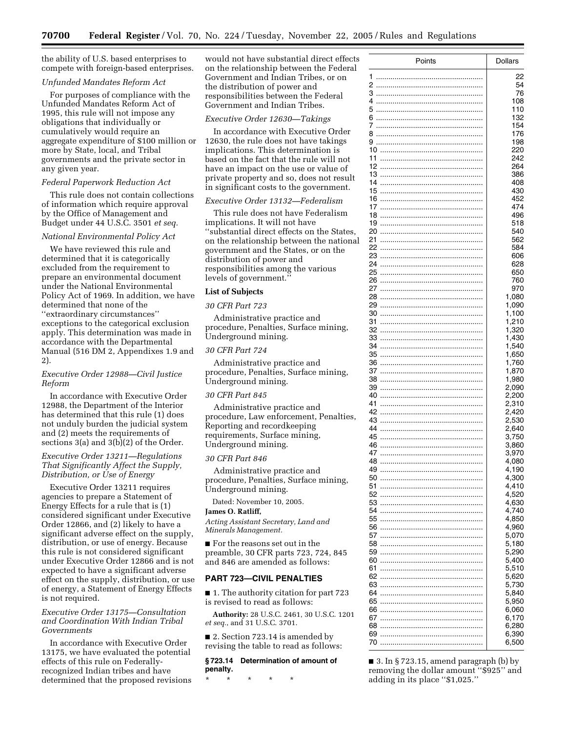the ability of U.S. based enterprises to compete with foreign-based enterprises.

#### *Unfunded Mandates Reform Act*

For purposes of compliance with the Unfunded Mandates Reform Act of 1995, this rule will not impose any obligations that individually or cumulatively would require an aggregate expenditure of \$100 million or more by State, local, and Tribal governments and the private sector in any given year.

#### *Federal Paperwork Reduction Act*

This rule does not contain collections of information which require approval by the Office of Management and Budget under 44 U.S.C. 3501 *et seq.* 

#### *National Environmental Policy Act*

We have reviewed this rule and determined that it is categorically excluded from the requirement to prepare an environmental document under the National Environmental Policy Act of 1969. In addition, we have determined that none of the ''extraordinary circumstances'' exceptions to the categorical exclusion apply. This determination was made in accordance with the Departmental Manual (516 DM 2, Appendixes 1.9 and 2).

# *Executive Order 12988—Civil Justice Reform*

In accordance with Executive Order 12988, the Department of the Interior has determined that this rule (1) does not unduly burden the judicial system and (2) meets the requirements of sections  $3(a)$  and  $3(b)(2)$  of the Order.

# *Executive Order 13211—Regulations That Significantly Affect the Supply, Distribution, or Use of Energy*

Executive Order 13211 requires agencies to prepare a Statement of Energy Effects for a rule that is (1) considered significant under Executive Order 12866, and (2) likely to have a significant adverse effect on the supply, distribution, or use of energy. Because this rule is not considered significant under Executive Order 12866 and is not expected to have a significant adverse effect on the supply, distribution, or use of energy, a Statement of Energy Effects is not required.

# *Executive Order 13175—Consultation and Coordination With Indian Tribal Governments*

In accordance with Executive Order 13175, we have evaluated the potential effects of this rule on Federallyrecognized Indian tribes and have determined that the proposed revisions would not have substantial direct effects on the relationship between the Federal Government and Indian Tribes, or on the distribution of power and responsibilities between the Federal Government and Indian Tribes.

#### *Executive Order 12630—Takings*

In accordance with Executive Order 12630, the rule does not have takings implications. This determination is based on the fact that the rule will not have an impact on the use or value of private property and so, does not result in significant costs to the government.

#### *Executive Order 13132—Federalism*

This rule does not have Federalism implications. It will not have ''substantial direct effects on the States, on the relationship between the national government and the States, or on the distribution of power and responsibilities among the various levels of government.''

#### **List of Subjects**

# *30 CFR Part 723*

Administrative practice and procedure, Penalties, Surface mining, Underground mining.

# *30 CFR Part 724*

Administrative practice and procedure, Penalties, Surface mining, Underground mining.

# *30 CFR Part 845*

Administrative practice and procedure, Law enforcement, Penalties, Reporting and recordkeeping requirements, Surface mining, Underground mining.

#### *30 CFR Part 846*

Administrative practice and procedure, Penalties, Surface mining, Underground mining.

Dated: November 10, 2005.

# **James O. Ratliff,**

*Acting Assistant Secretary, Land and Minerals Management.* 

■ For the reasons set out in the preamble, 30 CFR parts 723, 724, 845 and 846 are amended as follows:

#### **PART 723—CIVIL PENALTIES**

■ 1. The authority citation for part 723 is revised to read as follows:

**Authority:** 28 U.S.C. 2461, 30 U.S.C. 1201 *et seq.*, and 31 U.S.C. 3701.

■ 2. Section 723.14 is amended by revising the table to read as follows:

#### **§ 723.14 Determination of amount of penalty.**

\* \* \* \* \*

| Points   | <b>Dollars</b> |
|----------|----------------|
|          |                |
| 1<br>2   | 22<br>54       |
| 3        | 76             |
| 4        | 108            |
| 5        | 110            |
| 6        | 132            |
| 7        | 154            |
| 8        | 176            |
|          | 198<br>220     |
| 11       | 242            |
| 12       | 264            |
|          | 386            |
|          | 408            |
| 15       | 430            |
| 16<br>17 | 452<br>474     |
| 18       | 496            |
| 19       | 518            |
| 20       | 540            |
| 21       | 562            |
| 22       | 584            |
| 23<br>24 | 606<br>628     |
| 25       | 650            |
| 26       | 760            |
| 27       | 970            |
| 28       | 1,080          |
| 29       | 1,090          |
| 30<br>31 | 1,100<br>1,210 |
| 32       | 1,320          |
| 33       | 1,430          |
| 34       | 1,540          |
| 35       | 1,650          |
| 36       | 1,760          |
| 37<br>38 | 1,870<br>1,980 |
| 39       | 2,090          |
| 40       | 2,200          |
| 41       | 2,310          |
| 42       | 2,420          |
| 43       | 2,530          |
| 44<br>45 | 2,640          |
| 46       | 3,750<br>3,860 |
| 47       | 3,970          |
| 48       | 4,080          |
| 49       | 4,190          |
| 50       | 4,300          |
| 51<br>52 | 4,410<br>4,520 |
| 53       | 4,630          |
| 54       | 4,740          |
| 55       | 4,850          |
| 56       | 4,960          |
| 57       | 5,070          |
| 58       | 5,180          |
| 59<br>60 | 5,290<br>5,400 |
| 61       | 5,510          |
| 62       | 5,620          |
| 63       | 5,730          |
| 64       | 5,840          |
| 65       | 5,950          |
| 66<br>67 | 6,060<br>6,170 |
| 68       | 6,280          |
| 69       | 6,390          |
| 70       | 6,500          |

 $\blacksquare$  3. In § 723.15, amend paragraph (b) by removing the dollar amount ''\$925'' and adding in its place ''\$1,025.''